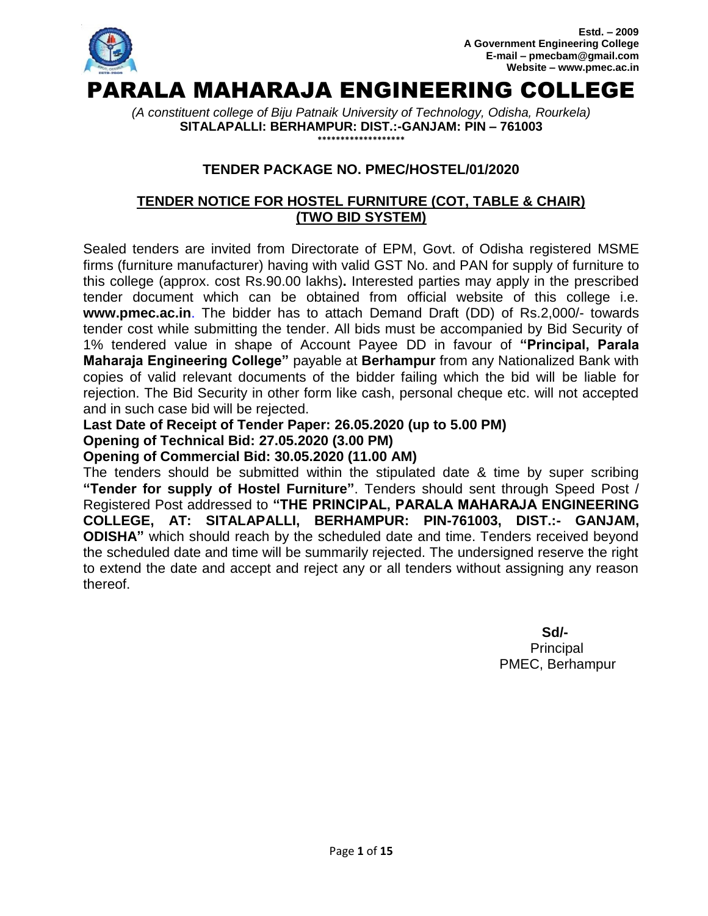

*(A constituent college of Biju Patnaik University of Technology, Odisha, Rourkela)* **SITALAPALLI: BERHAMPUR: DIST.:-GANJAM: PIN – 761003 \*\*\*\*\*\*\*\*\*\*\*\*\*\*\*\*\*\*\***

## **TENDER PACKAGE NO. PMEC/HOSTEL/01/2020**

## **TENDER NOTICE FOR HOSTEL FURNITURE (COT, TABLE & CHAIR) (TWO BID SYSTEM)**

Sealed tenders are invited from Directorate of EPM, Govt. of Odisha registered MSME firms (furniture manufacturer) having with valid GST No. and PAN for supply of furniture to this college (approx. cost Rs.90.00 lakhs)**.** Interested parties may apply in the prescribed tender document which can be obtained from official website of this college i.e. **www.pmec.ac.in**. The bidder has to attach Demand Draft (DD) of Rs.2,000/- towards tender cost while submitting the tender. All bids must be accompanied by Bid Security of 1% tendered value in shape of Account Payee DD in favour of **"Principal, Parala Maharaja Engineering College"** payable at **Berhampur** from any Nationalized Bank with copies of valid relevant documents of the bidder failing which the bid will be liable for rejection. The Bid Security in other form like cash, personal cheque etc. will not accepted and in such case bid will be rejected.

**Last Date of Receipt of Tender Paper: 26.05.2020 (up to 5.00 PM) Opening of Technical Bid: 27.05.2020 (3.00 PM)**

**Opening of Commercial Bid: 30.05.2020 (11.00 AM)**

The tenders should be submitted within the stipulated date & time by super scribing **"Tender for supply of Hostel Furniture"**. Tenders should sent through Speed Post / Registered Post addressed to **"THE PRINCIPAL, PARALA MAHARAJA ENGINEERING COLLEGE, AT: SITALAPALLI, BERHAMPUR: PIN-761003, DIST.:- GANJAM, ODISHA"** which should reach by the scheduled date and time. Tenders received beyond the scheduled date and time will be summarily rejected. The undersigned reserve the right to extend the date and accept and reject any or all tenders without assigning any reason thereof.

**Sd/-** Samuel Contract of the State of the State of the State of the State of the State of the State of the State of the State of the State of the State of the State of the State of the State of the State of the State of t Principal PMEC, Berhampur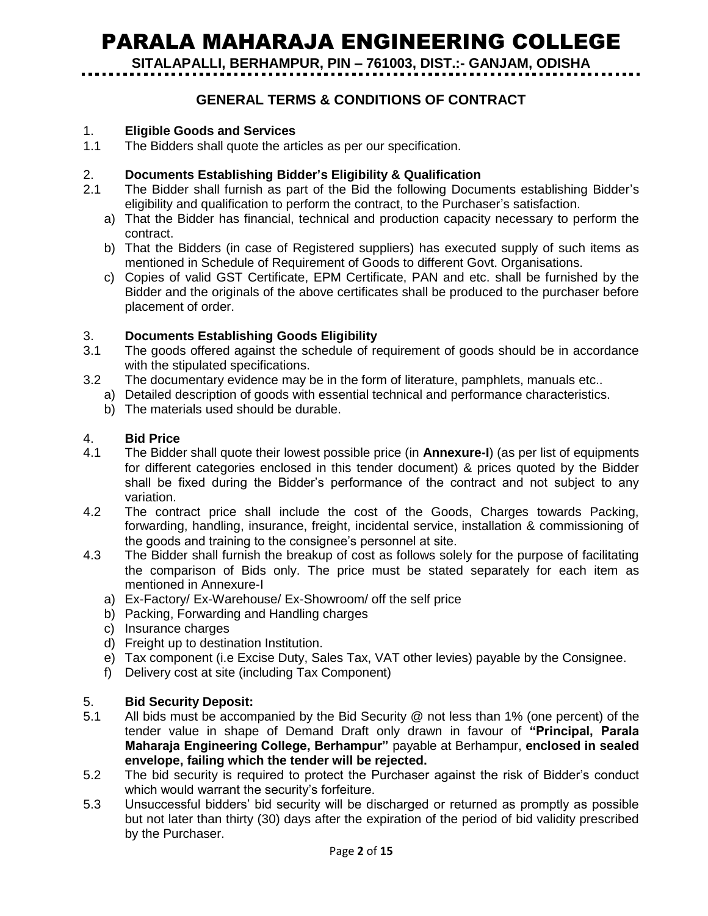# PARALA MAHARAJA ENGINEERING COLLEGE

**SITALAPALLI, BERHAMPUR, PIN – 761003, DIST.:- GANJAM, ODISHA**

## **GENERAL TERMS & CONDITIONS OF CONTRACT**

#### 1. **Eligible Goods and Services**

1.1 The Bidders shall quote the articles as per our specification.

#### 2. **Documents Establishing Bidder"s Eligibility & Qualification**

- 2.1 The Bidder shall furnish as part of the Bid the following Documents establishing Bidder's eligibility and qualification to perform the contract, to the Purchaser's satisfaction.
	- a) That the Bidder has financial, technical and production capacity necessary to perform the contract.
	- b) That the Bidders (in case of Registered suppliers) has executed supply of such items as mentioned in Schedule of Requirement of Goods to different Govt. Organisations.
	- c) Copies of valid GST Certificate, EPM Certificate, PAN and etc. shall be furnished by the Bidder and the originals of the above certificates shall be produced to the purchaser before placement of order.

#### 3. **Documents Establishing Goods Eligibility**

- 3.1 The goods offered against the schedule of requirement of goods should be in accordance with the stipulated specifications.
- 3.2 The documentary evidence may be in the form of literature, pamphlets, manuals etc..
	- a) Detailed description of goods with essential technical and performance characteristics.
		- b) The materials used should be durable.

#### 4. **Bid Price**

- 4.1 The Bidder shall quote their lowest possible price (in **Annexure-I**) (as per list of equipments for different categories enclosed in this tender document) & prices quoted by the Bidder shall be fixed during the Bidder's performance of the contract and not subject to any variation.
- 4.2 The contract price shall include the cost of the Goods, Charges towards Packing, forwarding, handling, insurance, freight, incidental service, installation & commissioning of the goods and training to the consignee's personnel at site.
- 4.3 The Bidder shall furnish the breakup of cost as follows solely for the purpose of facilitating the comparison of Bids only. The price must be stated separately for each item as mentioned in Annexure-I
	- a) Ex-Factory/ Ex-Warehouse/ Ex-Showroom/ off the self price
	- b) Packing, Forwarding and Handling charges
	- c) Insurance charges
	- d) Freight up to destination Institution.
	- e) Tax component (i.e Excise Duty, Sales Tax, VAT other levies) payable by the Consignee.
	- f) Delivery cost at site (including Tax Component)

#### 5. **Bid Security Deposit:**

- 5.1 All bids must be accompanied by the Bid Security @ not less than 1% (one percent) of the tender value in shape of Demand Draft only drawn in favour of **"Principal, Parala Maharaja Engineering College, Berhampur"** payable at Berhampur, **enclosed in sealed envelope, failing which the tender will be rejected.**
- 5.2 The bid security is required to protect the Purchaser against the risk of Bidder's conduct which would warrant the security's forfeiture.
- 5.3 Unsuccessful bidders' bid security will be discharged or returned as promptly as possible but not later than thirty (30) days after the expiration of the period of bid validity prescribed by the Purchaser.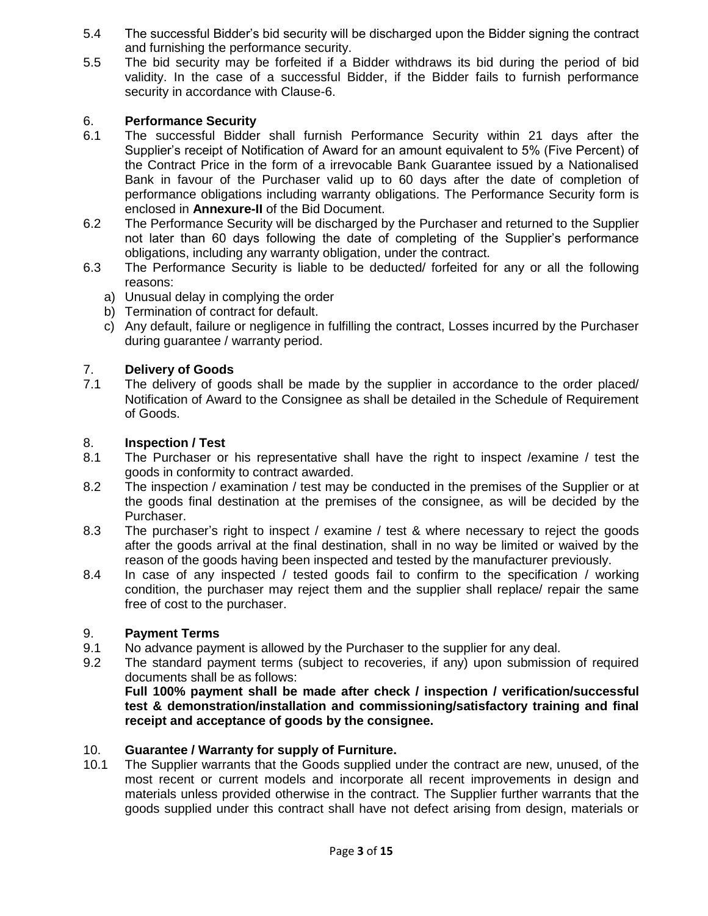- 5.4 The successful Bidder's bid security will be discharged upon the Bidder signing the contract and furnishing the performance security.
- 5.5 The bid security may be forfeited if a Bidder withdraws its bid during the period of bid validity. In the case of a successful Bidder, if the Bidder fails to furnish performance security in accordance with Clause-6.

## 6. **Performance Security**

- 6.1 The successful Bidder shall furnish Performance Security within 21 days after the Supplier's receipt of Notification of Award for an amount equivalent to 5% (Five Percent) of the Contract Price in the form of a irrevocable Bank Guarantee issued by a Nationalised Bank in favour of the Purchaser valid up to 60 days after the date of completion of performance obligations including warranty obligations. The Performance Security form is enclosed in **Annexure-II** of the Bid Document.
- 6.2 The Performance Security will be discharged by the Purchaser and returned to the Supplier not later than 60 days following the date of completing of the Supplier's performance obligations, including any warranty obligation, under the contract.
- 6.3 The Performance Security is liable to be deducted/ forfeited for any or all the following reasons:
	- a) Unusual delay in complying the order
	- b) Termination of contract for default.
	- c) Any default, failure or negligence in fulfilling the contract, Losses incurred by the Purchaser during guarantee / warranty period.

# 7. **Delivery of Goods**

The delivery of goods shall be made by the supplier in accordance to the order placed/ Notification of Award to the Consignee as shall be detailed in the Schedule of Requirement of Goods.

#### 8. **Inspection / Test**

- 8.1 The Purchaser or his representative shall have the right to inspect /examine / test the goods in conformity to contract awarded.
- 8.2 The inspection / examination / test may be conducted in the premises of the Supplier or at the goods final destination at the premises of the consignee, as will be decided by the Purchaser.
- 8.3 The purchaser's right to inspect / examine / test & where necessary to reject the goods after the goods arrival at the final destination, shall in no way be limited or waived by the reason of the goods having been inspected and tested by the manufacturer previously.
- 8.4 In case of any inspected / tested goods fail to confirm to the specification / working condition, the purchaser may reject them and the supplier shall replace/ repair the same free of cost to the purchaser.

#### 9. **Payment Terms**

- 9.1 No advance payment is allowed by the Purchaser to the supplier for any deal.
- 9.2 The standard payment terms (subject to recoveries, if any) upon submission of required documents shall be as follows:

**Full 100% payment shall be made after check / inspection / verification/successful test & demonstration/installation and commissioning/satisfactory training and final receipt and acceptance of goods by the consignee.**

#### 10. **Guarantee / Warranty for supply of Furniture.**

10.1 The Supplier warrants that the Goods supplied under the contract are new, unused, of the most recent or current models and incorporate all recent improvements in design and materials unless provided otherwise in the contract. The Supplier further warrants that the goods supplied under this contract shall have not defect arising from design, materials or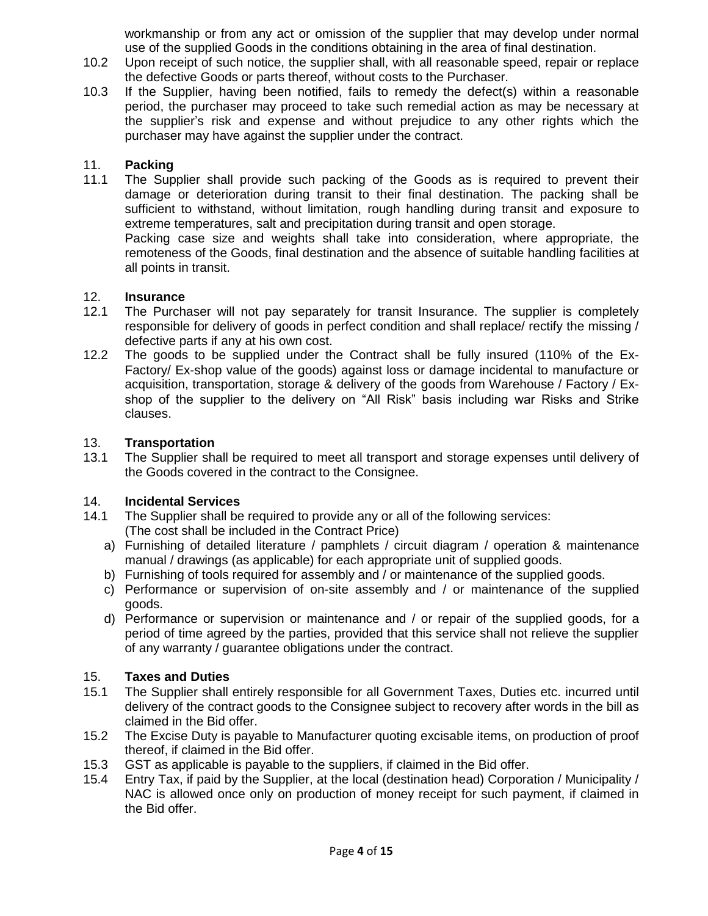workmanship or from any act or omission of the supplier that may develop under normal use of the supplied Goods in the conditions obtaining in the area of final destination.

- 10.2 Upon receipt of such notice, the supplier shall, with all reasonable speed, repair or replace the defective Goods or parts thereof, without costs to the Purchaser.
- 10.3 If the Supplier, having been notified, fails to remedy the defect(s) within a reasonable period, the purchaser may proceed to take such remedial action as may be necessary at the supplier's risk and expense and without prejudice to any other rights which the purchaser may have against the supplier under the contract.

## 11. **Packing**

11.1 The Supplier shall provide such packing of the Goods as is required to prevent their damage or deterioration during transit to their final destination. The packing shall be sufficient to withstand, without limitation, rough handling during transit and exposure to extreme temperatures, salt and precipitation during transit and open storage.

Packing case size and weights shall take into consideration, where appropriate, the remoteness of the Goods, final destination and the absence of suitable handling facilities at all points in transit.

#### 12. **Insurance**

- 12.1 The Purchaser will not pay separately for transit Insurance. The supplier is completely responsible for delivery of goods in perfect condition and shall replace/ rectify the missing / defective parts if any at his own cost.
- 12.2 The goods to be supplied under the Contract shall be fully insured (110% of the Ex-Factory/ Ex-shop value of the goods) against loss or damage incidental to manufacture or acquisition, transportation, storage & delivery of the goods from Warehouse / Factory / Exshop of the supplier to the delivery on "All Risk" basis including war Risks and Strike clauses.

#### 13. **Transportation**

13.1 The Supplier shall be required to meet all transport and storage expenses until delivery of the Goods covered in the contract to the Consignee.

#### 14. **Incidental Services**

- 14.1 The Supplier shall be required to provide any or all of the following services: (The cost shall be included in the Contract Price)
	- a) Furnishing of detailed literature / pamphlets / circuit diagram / operation & maintenance manual / drawings (as applicable) for each appropriate unit of supplied goods.
	- b) Furnishing of tools required for assembly and / or maintenance of the supplied goods.
	- c) Performance or supervision of on-site assembly and / or maintenance of the supplied goods.
	- d) Performance or supervision or maintenance and / or repair of the supplied goods, for a period of time agreed by the parties, provided that this service shall not relieve the supplier of any warranty / guarantee obligations under the contract.

#### 15. **Taxes and Duties**

- 15.1 The Supplier shall entirely responsible for all Government Taxes, Duties etc. incurred until delivery of the contract goods to the Consignee subject to recovery after words in the bill as claimed in the Bid offer.
- 15.2 The Excise Duty is payable to Manufacturer quoting excisable items, on production of proof thereof, if claimed in the Bid offer.
- 15.3 GST as applicable is payable to the suppliers, if claimed in the Bid offer.
- 15.4 Entry Tax, if paid by the Supplier, at the local (destination head) Corporation / Municipality / NAC is allowed once only on production of money receipt for such payment, if claimed in the Bid offer.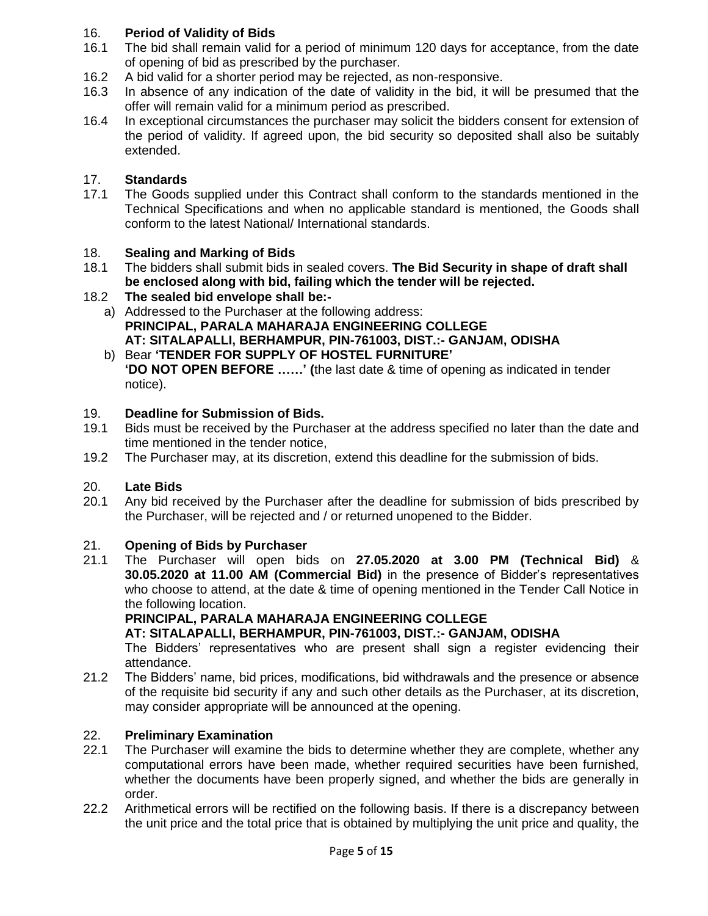## 16. **Period of Validity of Bids**

- 16.1 The bid shall remain valid for a period of minimum 120 days for acceptance, from the date of opening of bid as prescribed by the purchaser.
- 16.2 A bid valid for a shorter period may be rejected, as non-responsive.
- 16.3 In absence of any indication of the date of validity in the bid, it will be presumed that the offer will remain valid for a minimum period as prescribed.
- 16.4 In exceptional circumstances the purchaser may solicit the bidders consent for extension of the period of validity. If agreed upon, the bid security so deposited shall also be suitably extended.

## 17. **Standards**

17.1 The Goods supplied under this Contract shall conform to the standards mentioned in the Technical Specifications and when no applicable standard is mentioned, the Goods shall conform to the latest National/ International standards.

## 18. **Sealing and Marking of Bids**

18.1 The bidders shall submit bids in sealed covers. **The Bid Security in shape of draft shall be enclosed along with bid, failing which the tender will be rejected.**

## 18.2 **The sealed bid envelope shall be:-**

- a) Addressed to the Purchaser at the following address: **PRINCIPAL, PARALA MAHARAJA ENGINEERING COLLEGE AT: SITALAPALLI, BERHAMPUR, PIN-761003, DIST.:- GANJAM, ODISHA**
- b) Bear **"TENDER FOR SUPPLY OF HOSTEL FURNITURE" "DO NOT OPEN BEFORE ……" (**the last date & time of opening as indicated in tender notice).

## 19. **Deadline for Submission of Bids.**

- 19.1 Bids must be received by the Purchaser at the address specified no later than the date and time mentioned in the tender notice,
- 19.2 The Purchaser may, at its discretion, extend this deadline for the submission of bids.

## 20. **Late Bids**

20.1 Any bid received by the Purchaser after the deadline for submission of bids prescribed by the Purchaser, will be rejected and / or returned unopened to the Bidder.

## 21. **Opening of Bids by Purchaser**

21.1 The Purchaser will open bids on **27.05.2020 at 3.00 PM (Technical Bid)** & **30.05.2020 at 11.00 AM (Commercial Bid)** in the presence of Bidder's representatives who choose to attend, at the date & time of opening mentioned in the Tender Call Notice in the following location.

## **PRINCIPAL, PARALA MAHARAJA ENGINEERING COLLEGE**

## **AT: SITALAPALLI, BERHAMPUR, PIN-761003, DIST.:- GANJAM, ODISHA**

The Bidders' representatives who are present shall sign a register evidencing their attendance.

21.2 The Bidders' name, bid prices, modifications, bid withdrawals and the presence or absence of the requisite bid security if any and such other details as the Purchaser, at its discretion, may consider appropriate will be announced at the opening.

## 22. **Preliminary Examination**

- 22.1 The Purchaser will examine the bids to determine whether they are complete, whether any computational errors have been made, whether required securities have been furnished, whether the documents have been properly signed, and whether the bids are generally in order.
- 22.2 Arithmetical errors will be rectified on the following basis. If there is a discrepancy between the unit price and the total price that is obtained by multiplying the unit price and quality, the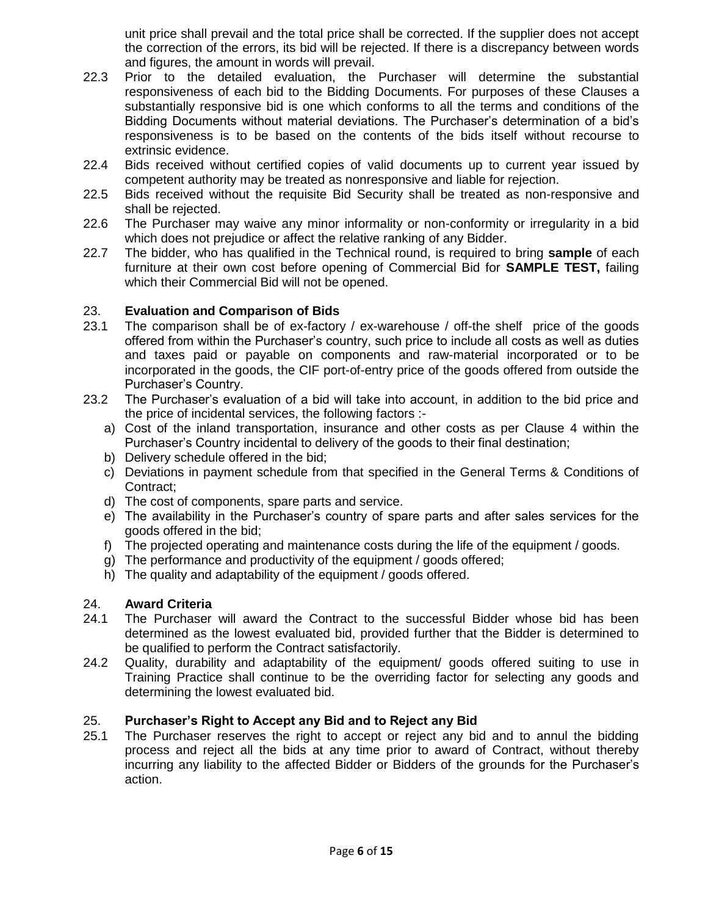unit price shall prevail and the total price shall be corrected. If the supplier does not accept the correction of the errors, its bid will be rejected. If there is a discrepancy between words and figures, the amount in words will prevail.

- 22.3 Prior to the detailed evaluation, the Purchaser will determine the substantial responsiveness of each bid to the Bidding Documents. For purposes of these Clauses a substantially responsive bid is one which conforms to all the terms and conditions of the Bidding Documents without material deviations. The Purchaser's determination of a bid's responsiveness is to be based on the contents of the bids itself without recourse to extrinsic evidence.
- 22.4 Bids received without certified copies of valid documents up to current year issued by competent authority may be treated as nonresponsive and liable for rejection.
- 22.5 Bids received without the requisite Bid Security shall be treated as non-responsive and shall be rejected.
- 22.6 The Purchaser may waive any minor informality or non-conformity or irregularity in a bid which does not prejudice or affect the relative ranking of any Bidder.
- 22.7 The bidder, who has qualified in the Technical round, is required to bring **sample** of each furniture at their own cost before opening of Commercial Bid for **SAMPLE TEST,** failing which their Commercial Bid will not be opened.

## 23. **Evaluation and Comparison of Bids**

- 23.1 The comparison shall be of ex-factory / ex-warehouse / off-the shelf price of the goods offered from within the Purchaser's country, such price to include all costs as well as duties and taxes paid or payable on components and raw-material incorporated or to be incorporated in the goods, the CIF port-of-entry price of the goods offered from outside the Purchaser's Country.
- 23.2 The Purchaser's evaluation of a bid will take into account, in addition to the bid price and the price of incidental services, the following factors :
	- a) Cost of the inland transportation, insurance and other costs as per Clause 4 within the Purchaser's Country incidental to delivery of the goods to their final destination;
	- b) Delivery schedule offered in the bid;
	- c) Deviations in payment schedule from that specified in the General Terms & Conditions of Contract;
	- d) The cost of components, spare parts and service.
	- e) The availability in the Purchaser's country of spare parts and after sales services for the goods offered in the bid;
	- f) The projected operating and maintenance costs during the life of the equipment / goods.
	- g) The performance and productivity of the equipment / goods offered;
	- h) The quality and adaptability of the equipment / goods offered.

## 24. **Award Criteria**

- 24.1 The Purchaser will award the Contract to the successful Bidder whose bid has been determined as the lowest evaluated bid, provided further that the Bidder is determined to be qualified to perform the Contract satisfactorily.
- 24.2 Quality, durability and adaptability of the equipment/ goods offered suiting to use in Training Practice shall continue to be the overriding factor for selecting any goods and determining the lowest evaluated bid.

## 25. **Purchaser"s Right to Accept any Bid and to Reject any Bid**

25.1 The Purchaser reserves the right to accept or reject any bid and to annul the bidding process and reject all the bids at any time prior to award of Contract, without thereby incurring any liability to the affected Bidder or Bidders of the grounds for the Purchaser's action.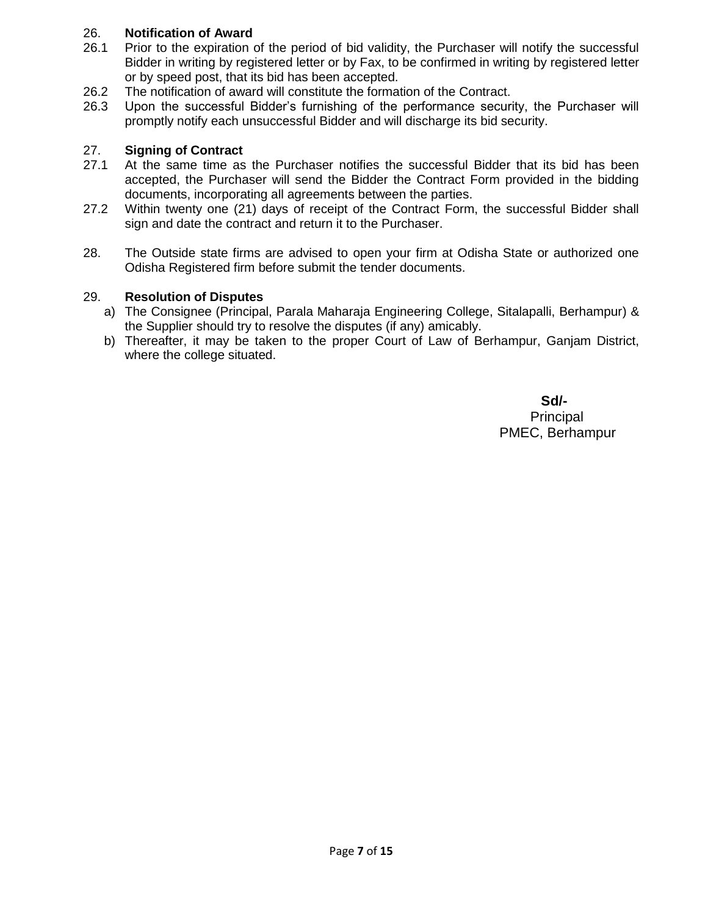## 26. **Notification of Award**

- 26.1 Prior to the expiration of the period of bid validity, the Purchaser will notify the successful Bidder in writing by registered letter or by Fax, to be confirmed in writing by registered letter or by speed post, that its bid has been accepted.
- 26.2 The notification of award will constitute the formation of the Contract.
- 26.3 Upon the successful Bidder's furnishing of the performance security, the Purchaser will promptly notify each unsuccessful Bidder and will discharge its bid security.

#### 27. **Signing of Contract**

- 27.1 At the same time as the Purchaser notifies the successful Bidder that its bid has been accepted, the Purchaser will send the Bidder the Contract Form provided in the bidding documents, incorporating all agreements between the parties.
- 27.2 Within twenty one (21) days of receipt of the Contract Form, the successful Bidder shall sign and date the contract and return it to the Purchaser.
- 28. The Outside state firms are advised to open your firm at Odisha State or authorized one Odisha Registered firm before submit the tender documents.

## 29. **Resolution of Disputes**

- a) The Consignee (Principal, Parala Maharaja Engineering College, Sitalapalli, Berhampur) & the Supplier should try to resolve the disputes (if any) amicably.
- b) Thereafter, it may be taken to the proper Court of Law of Berhampur, Ganjam District, where the college situated.

**Sd/-** Principal PMEC, Berhampur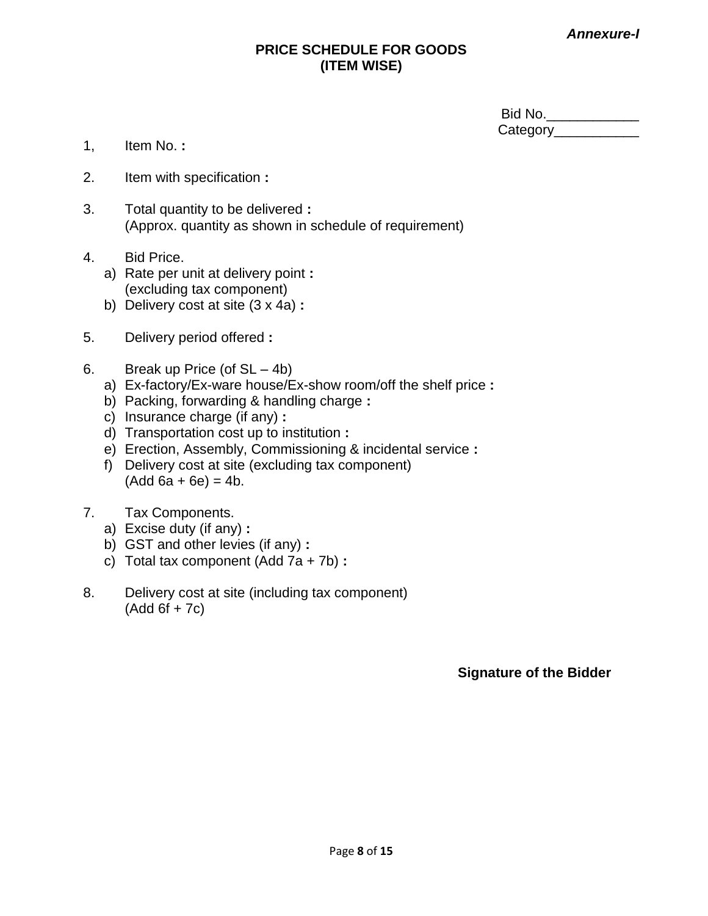*Annexure-I*

## **PRICE SCHEDULE FOR GOODS (ITEM WISE)**

| Bid No.  |  |
|----------|--|
| Category |  |

- 1, Item No. **:**
- 2. Item with specification **:**
- 3. Total quantity to be delivered **:** (Approx. quantity as shown in schedule of requirement)
- 4. Bid Price.
	- a) Rate per unit at delivery point **:** (excluding tax component)
	- b) Delivery cost at site (3 x 4a) **:**
- 5. Delivery period offered **:**
- 6. Break up Price (of SL 4b)
	- a) Ex-factory/Ex-ware house/Ex-show room/off the shelf price **:**
	- b) Packing, forwarding & handling charge **:**
	- c) Insurance charge (if any) **:**
	- d) Transportation cost up to institution **:**
	- e) Erection, Assembly, Commissioning & incidental service **:**
	- f) Delivery cost at site (excluding tax component)  $(Add 6a + 6e) = 4b.$
- 7. Tax Components.
	- a) Excise duty (if any) **:**
	- b) GST and other levies (if any) **:**
	- c) Total tax component (Add 7a + 7b) **:**
- 8. Delivery cost at site (including tax component)  $(Add 6f + 7c)$

**Signature of the Bidder**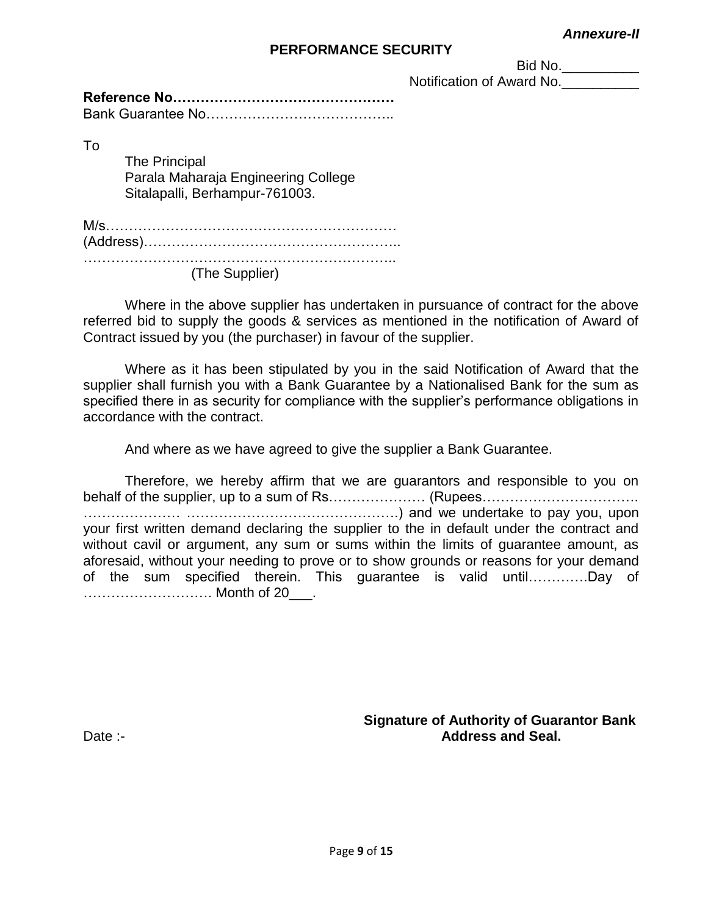#### *Annexure-II*

#### **PERFORMANCE SECURITY**

Bid No. \_\_\_\_\_\_\_\_\_\_\_

Notification of Award No.

To

The Principal Parala Maharaja Engineering College Sitalapalli, Berhampur-761003.

M/s……………………………………………………… (Address)……………………………………………….. …………………………………………………………..

(The Supplier)

Where in the above supplier has undertaken in pursuance of contract for the above referred bid to supply the goods & services as mentioned in the notification of Award of Contract issued by you (the purchaser) in favour of the supplier.

Where as it has been stipulated by you in the said Notification of Award that the supplier shall furnish you with a Bank Guarantee by a Nationalised Bank for the sum as specified there in as security for compliance with the supplier's performance obligations in accordance with the contract.

And where as we have agreed to give the supplier a Bank Guarantee.

Therefore, we hereby affirm that we are guarantors and responsible to you on behalf of the supplier, up to a sum of Rs………………… (Rupees……………………………………………………………… ………………… ……………………………………….) and we undertake to pay you, upon your first written demand declaring the supplier to the in default under the contract and without cavil or argument, any sum or sums within the limits of guarantee amount, as aforesaid, without your needing to prove or to show grounds or reasons for your demand of the sum specified therein. This guarantee is valid until………….Day of ………………………. Month of 20\_\_\_.

 **Signature of Authority of Guarantor Bank** Date :- **Address and Seal.**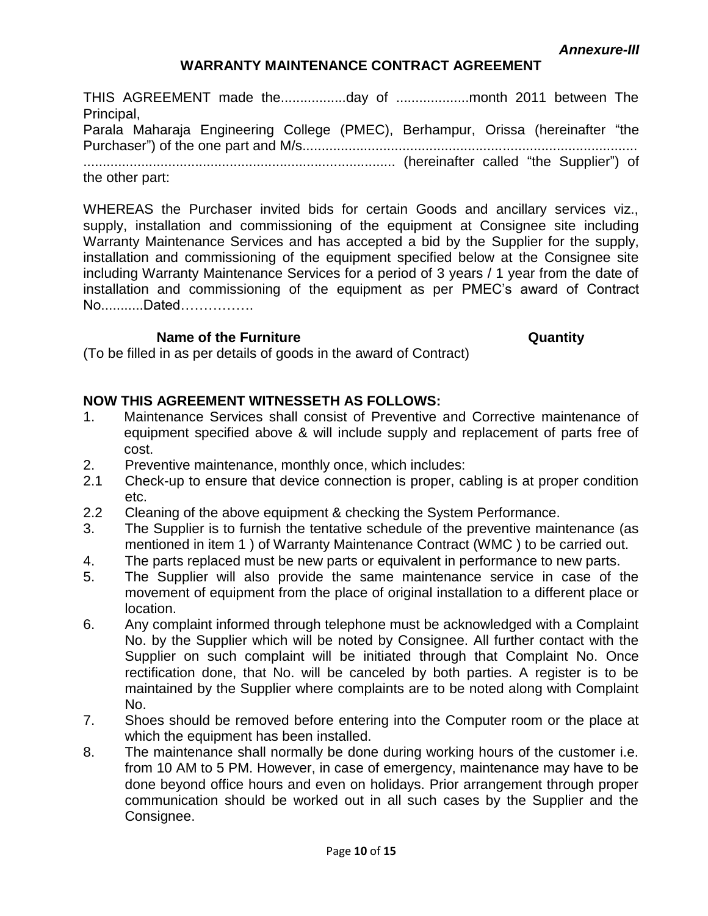*Annexure-III*

## **WARRANTY MAINTENANCE CONTRACT AGREEMENT**

THIS AGREEMENT made the.................day of ...................month 2011 between The Principal, Parala Maharaja Engineering College (PMEC), Berhampur, Orissa (hereinafter "the Purchaser") of the one part and M/s....................................................................................... ................................................................................. (hereinafter called "the Supplier") of the other part:

WHEREAS the Purchaser invited bids for certain Goods and ancillary services viz., supply, installation and commissioning of the equipment at Consignee site including Warranty Maintenance Services and has accepted a bid by the Supplier for the supply, installation and commissioning of the equipment specified below at the Consignee site including Warranty Maintenance Services for a period of 3 years / 1 year from the date of installation and commissioning of the equipment as per PMEC's award of Contract No...........Dated…………….

## **Name of the Furniture Constraint Constraint Constraint Constraint Constraint Constraint Constraint Constraint Constraint Constraint Constraint Constraint Constraint Constraint Constraint Constraint Constraint Constraint C**

(To be filled in as per details of goods in the award of Contract)

## **NOW THIS AGREEMENT WITNESSETH AS FOLLOWS:**

- 1. Maintenance Services shall consist of Preventive and Corrective maintenance of equipment specified above & will include supply and replacement of parts free of cost.
- 2. Preventive maintenance, monthly once, which includes:
- 2.1 Check-up to ensure that device connection is proper, cabling is at proper condition etc.
- 2.2 Cleaning of the above equipment & checking the System Performance.
- 3. The Supplier is to furnish the tentative schedule of the preventive maintenance (as mentioned in item 1 ) of Warranty Maintenance Contract (WMC ) to be carried out.
- 4. The parts replaced must be new parts or equivalent in performance to new parts.
- 5. The Supplier will also provide the same maintenance service in case of the movement of equipment from the place of original installation to a different place or location.
- 6. Any complaint informed through telephone must be acknowledged with a Complaint No. by the Supplier which will be noted by Consignee. All further contact with the Supplier on such complaint will be initiated through that Complaint No. Once rectification done, that No. will be canceled by both parties. A register is to be maintained by the Supplier where complaints are to be noted along with Complaint No.
- 7. Shoes should be removed before entering into the Computer room or the place at which the equipment has been installed.
- 8. The maintenance shall normally be done during working hours of the customer i.e. from 10 AM to 5 PM. However, in case of emergency, maintenance may have to be done beyond office hours and even on holidays. Prior arrangement through proper communication should be worked out in all such cases by the Supplier and the Consignee.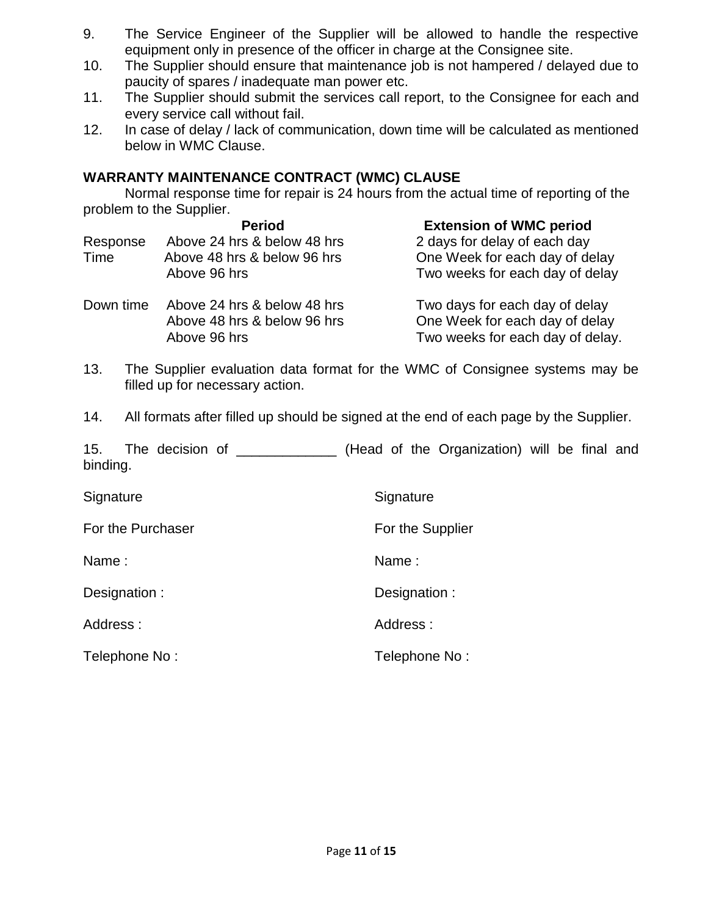- 9. The Service Engineer of the Supplier will be allowed to handle the respective equipment only in presence of the officer in charge at the Consignee site.
- 10. The Supplier should ensure that maintenance job is not hampered / delayed due to paucity of spares / inadequate man power etc.
- 11. The Supplier should submit the services call report, to the Consignee for each and every service call without fail.
- 12. In case of delay / lack of communication, down time will be calculated as mentioned below in WMC Clause.

## **WARRANTY MAINTENANCE CONTRACT (WMC) CLAUSE**

Normal response time for repair is 24 hours from the actual time of reporting of the problem to the Supplier.

|           | <b>Period</b>               | <b>Extension of WMC period</b>   |
|-----------|-----------------------------|----------------------------------|
| Response  | Above 24 hrs & below 48 hrs | 2 days for delay of each day     |
| Time      | Above 48 hrs & below 96 hrs | One Week for each day of delay   |
|           | Above 96 hrs                | Two weeks for each day of delay  |
| Down time | Above 24 hrs & below 48 hrs | Two days for each day of delay   |
|           | Above 48 hrs & below 96 hrs | One Week for each day of delay   |
|           | Above 96 hrs                | Two weeks for each day of delay. |
|           |                             |                                  |

- 13. The Supplier evaluation data format for the WMC of Consignee systems may be filled up for necessary action.
- 14. All formats after filled up should be signed at the end of each page by the Supplier.

15. The decision of \_\_\_\_\_\_\_\_\_\_\_\_\_ (Head of the Organization) will be final and binding.

| Signature         | Signature        |
|-------------------|------------------|
| For the Purchaser | For the Supplier |
| Name:             | Name:            |
| Designation:      | Designation :    |
| Address:          | Address:         |
| Telephone No:     | Telephone No:    |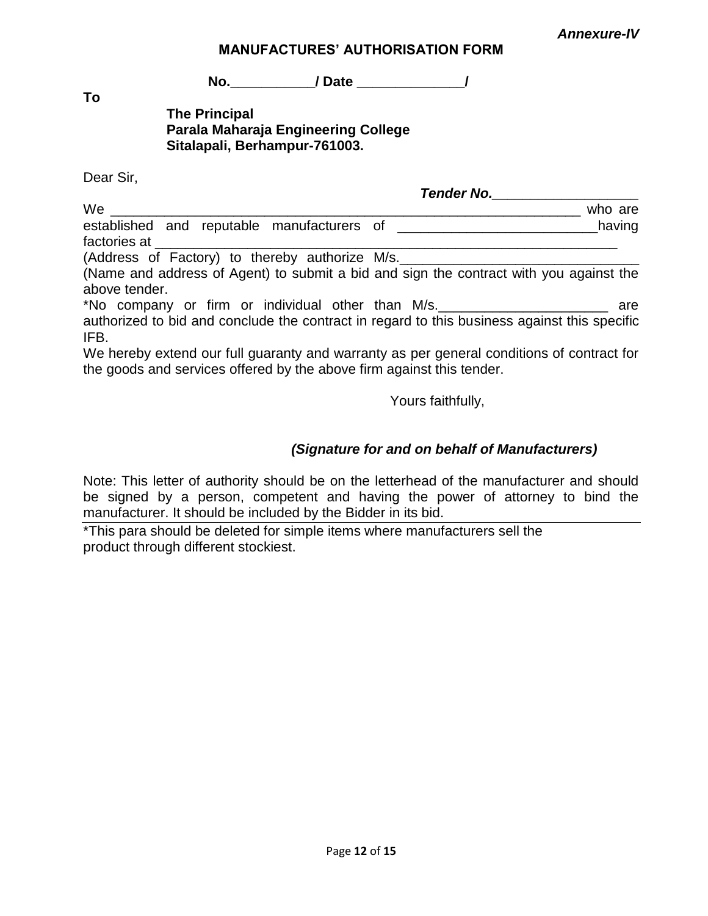*Annexure-IV*

## **MANUFACTURES" AUTHORISATION FORM**

**No.\_\_\_\_\_\_\_\_\_\_\_/ Date \_\_\_\_\_\_\_\_\_\_\_\_\_\_/**

**To**

## **The Principal Parala Maharaja Engineering College Sitalapali, Berhampur-761003.**

Dear Sir,

|                                                                                                                                                                    | Tender No. |
|--------------------------------------------------------------------------------------------------------------------------------------------------------------------|------------|
| We                                                                                                                                                                 | who are    |
| established and reputable manufacturers of _____<br>factories at                                                                                                   | having     |
| (Address of Factory) to thereby authorize M/s.                                                                                                                     |            |
| (Name and address of Agent) to submit a bid and sign the contract with you against the<br>above tender.                                                            |            |
| *No company or firm or individual other than M/s.                                                                                                                  | are        |
| authorized to bid and conclude the contract in regard to this business against this specific<br>IFB.                                                               |            |
| We hereby extend our full guaranty and warranty as per general conditions of contract for<br>the goods and services offered by the above firm against this tender. |            |

Yours faithfully,

## *(Signature for and on behalf of Manufacturers)*

Note: This letter of authority should be on the letterhead of the manufacturer and should be signed by a person, competent and having the power of attorney to bind the manufacturer. It should be included by the Bidder in its bid.

\*This para should be deleted for simple items where manufacturers sell the product through different stockiest.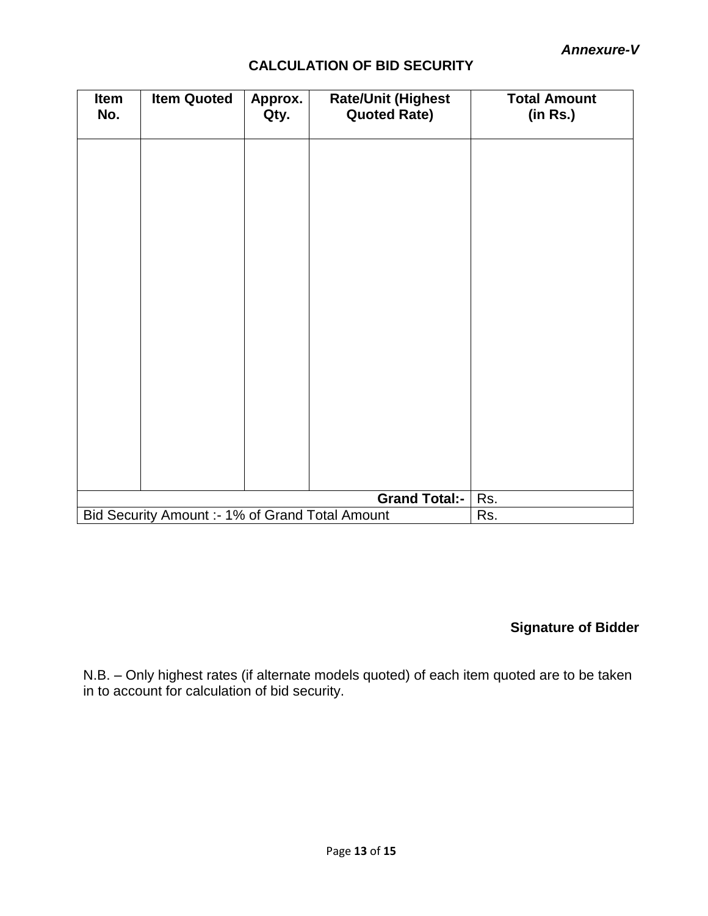## **CALCULATION OF BID SECURITY**

| Item<br>No. | <b>Item Quoted</b>                              | Approx.<br>Qty. | <b>Rate/Unit (Highest</b><br><b>Quoted Rate)</b> | <b>Total Amount</b><br>(in Rs.) |
|-------------|-------------------------------------------------|-----------------|--------------------------------------------------|---------------------------------|
|             |                                                 |                 |                                                  |                                 |
|             |                                                 |                 |                                                  |                                 |
|             |                                                 |                 |                                                  |                                 |
|             |                                                 |                 |                                                  |                                 |
|             |                                                 |                 |                                                  |                                 |
|             |                                                 |                 |                                                  |                                 |
|             |                                                 |                 |                                                  |                                 |
|             |                                                 |                 |                                                  |                                 |
|             |                                                 |                 |                                                  |                                 |
|             |                                                 |                 |                                                  |                                 |
|             |                                                 |                 |                                                  |                                 |
|             |                                                 |                 | <b>Grand Total:-</b>                             | Rs.                             |
|             | Bid Security Amount :- 1% of Grand Total Amount |                 |                                                  | Rs.                             |

## **Signature of Bidder**

N.B. – Only highest rates (if alternate models quoted) of each item quoted are to be taken in to account for calculation of bid security.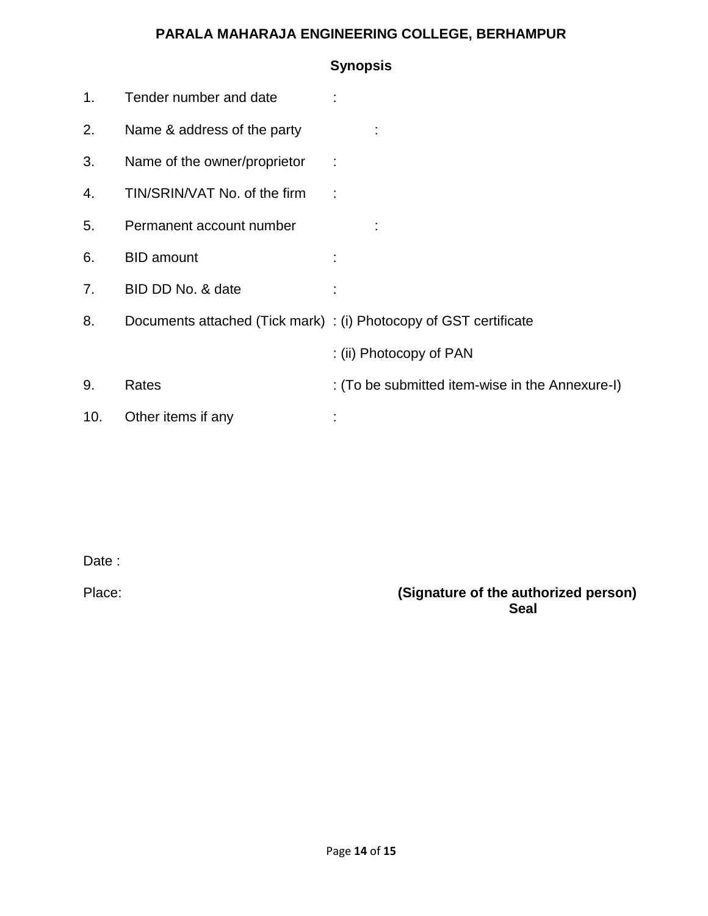## **PARALA MAHARAJA ENGINEERING COLLEGE, BERHAMPUR**

|     |                              | <b>Synopsis</b>                                                   |
|-----|------------------------------|-------------------------------------------------------------------|
| 1.  | Tender number and date       |                                                                   |
| 2.  | Name & address of the party  |                                                                   |
| 3.  | Name of the owner/proprietor |                                                                   |
| 4.  | TIN/SRIN/VAT No. of the firm |                                                                   |
| 5.  | Permanent account number     |                                                                   |
| 6.  | <b>BID</b> amount            |                                                                   |
| 7.  | BID DD No. & date            |                                                                   |
| 8.  |                              | Documents attached (Tick mark) : (i) Photocopy of GST certificate |
|     |                              | : (ii) Photocopy of PAN                                           |
| 9.  | Rates                        | : (To be submitted item-wise in the Annexure-I)                   |
| 10. | Other items if any           |                                                                   |

Date :

Place: **(Signature of the authorized person) Seal**